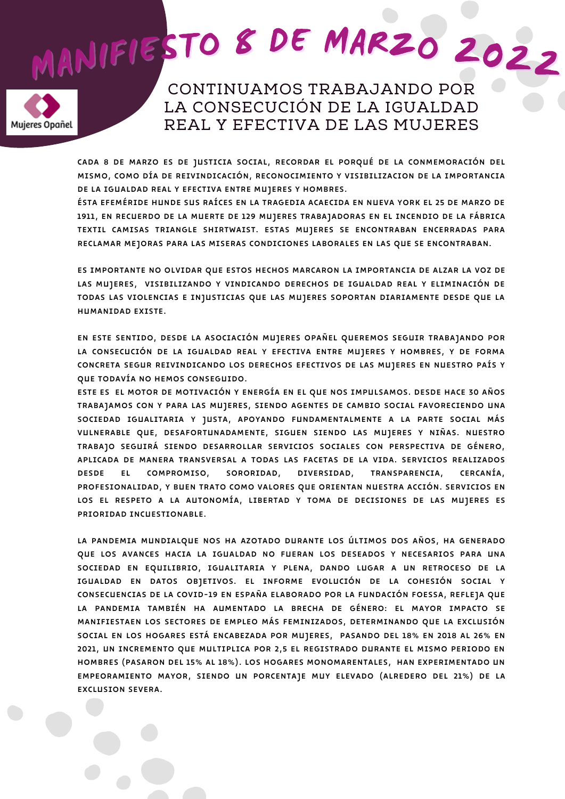## MANIFIESTO 8 DE MARZO 2022



CONTINUAMOS TRABAJANDO POR LA CONSECUCIÓN DE LA IGUALDAD REAL Y EFECTIVA DE LAS MUJERES

CADA 8 DE MARZO ES DE JUSTICIA SOCIAL, RECORDAR EL PORQUÉ DE LA CONMEMORACIÓN DEL MISMO, COMO DÍA DE REIVINDICACIÓN, RECONOCIMIENTO Y VISIBILIZACION DE LA IMPORTANCIA DE LA IGUALDAD REAL Y EFECTIVA ENTRE MUJERES Y HOMBRES.

ÉSTA EFEMÉRIDE HUNDE SUS RAÍCES EN LA TRAGEDIA ACAECIDA EN NUEVA YORK EL 25 DE MARZO DE 1911, EN RECUERDO DE LA MUERTE DE 129 MUJERES TRABAJADORAS EN EL INCENDIO DE LA FÁBRICA TEXTIL CAMISAS TRIANGLE SHIRTWAIST. ESTAS MUJERES SE ENCONTRABAN ENCERRADAS PARA RECLAMAR MEJORAS PARA LAS MISERAS CONDICIONES LABORALES EN LAS QUE SE ENCONTRABAN.

ES IMPORTANTE NO OLVIDAR QUE ESTOS HECHOS MARCARON LA IMPORTANCIA DE ALZAR LA VOZ DE LAS MUJERES, VISIBILIZANDO Y VINDICANDO DERECHOS DE IGUALDAD REAL Y ELIMINACIÓN DE TODAS LAS VIOLENCIAS E INJUSTICIAS QUE LAS MUJERES SOPORTAN DIARIAMENTE DESDE QUE LA HUMANIDAD EXISTE.

EN ESTE SENTIDO, DESDE LA ASOCIACIÓN MUJERES OPAÑEL QUEREMOS SEGUIR TRABAJANDO POR LA CONSECUCIÓN DE LA IGUALDAD REAL Y EFECTIVA ENTRE MUJERES Y HOMBRES, Y DE FORMA CONCRETA SEGUR REIVINDICANDO LOS DERECHOS EFECTIVOS DE LAS MUJERES EN NUESTRO PAÍS Y QUE TODAVÍA NO HEMOS CONSEGUIDO.

ESTE ES EL MOTOR DE MOTIVACIÓN Y ENERGÍA EN EL QUE NOS IMPULSAMOS. DESDE HACE 30 AÑOS TRABAJAMOS CON Y PARA LAS MUJERES, SIENDO AGENTES DE CAMBIO SOCIAL FAVORECIENDO UNA SOCIEDAD IGUALITARIA Y JUSTA, APOYANDO FUNDAMENTALMENTE A LA PARTE SOCIAL MÁS VULNERABLE QUE, DESAFORTUNADAMENTE, SIGUEN SIENDO LAS MUJERES Y NIÑAS. NUESTRO TRABAJO SEGUIRÁ SIENDO DESARROLLAR SERVICIOS SOCIALES CON PERSPECTIVA DE GÉNERO, APLICADA DE MANERA TRANSVERSAL A TODAS LAS FACETAS DE LA VIDA. SERVICIOS REALIZADOS<br>DESDE EL COMPROMISO, SORORIDAD, DIVERSIDAD, TRANSPARENCIA, CERCANÍA, DESDE EL COMPROMISO, SORORIDAD, DIVERSIDAD, TRANSPARENCIA, CERCANÍA, PROFESIONALIDAD, Y BUEN TRATO COMO VALORES QUE ORIENTAN NUESTRA ACCIÓN. SERVICIOS EN LOS EL RESPETO A LA AUTONOMÍA, LIBERTAD Y TOMA DE DECISIONES DE LAS MUJERES ES PRIORIDAD INCUESTIONABLE.

LA PANDEMIA MUNDIALQUE NOS HA AZOTADO DURANTE LOS ÚLTIMOS DOS AÑOS, HA GENERADO QUE LOS AVANCES HACIA LA IGUALDAD NO FUERAN LOS DESEADOS Y NECESARIOS PARA UNA SOCIEDAD EN EQUILIBRIO, IGUALITARIA Y PLENA, DANDO LUGAR A UN RETROCESO DE LA IGUALDAD EN DATOS OBJETIVOS. EL INFORME EVOLUCIÓN DE LA COHESIÓN SOCIAL Y CONSECUENCIAS DE LA COVID-19 EN ESPAÑA ELABORADO POR LA FUNDACIÓN FOESSA, REFLEJA QUE LA PANDEMIA TAMBIÉN HA AUMENTADO LA BRECHA DE GÉNERO: EL MAYOR IMPACTO SE MANIFIESTAEN LOS SECTORES DE EMPLEO MÁS FEMINIZADOS, DETERMINANDO QUE LA EXCLUSIÓN SOCIAL EN LOS HOGARES ESTÁ ENCABEZADA POR MUJERES, PASANDO DEL 18% EN 2018 AL 26% EN 2021, UN INCREMENTO QUE MULTIPLICA POR 2,5 EL REGISTRADO DURANTE EL MISMO PERIODO EN HOMBRES (PASARON DEL 15% AL 18%). LOS HOGARES MONOMARENTALES, HAN EXPERIMENTADO UN EMPEORAMIENTO MAYOR, SIENDO UN PORCENTAJE MUY ELEVADO (ALREDERO DEL 21%) DE LA EXCLUSION SEVERA.